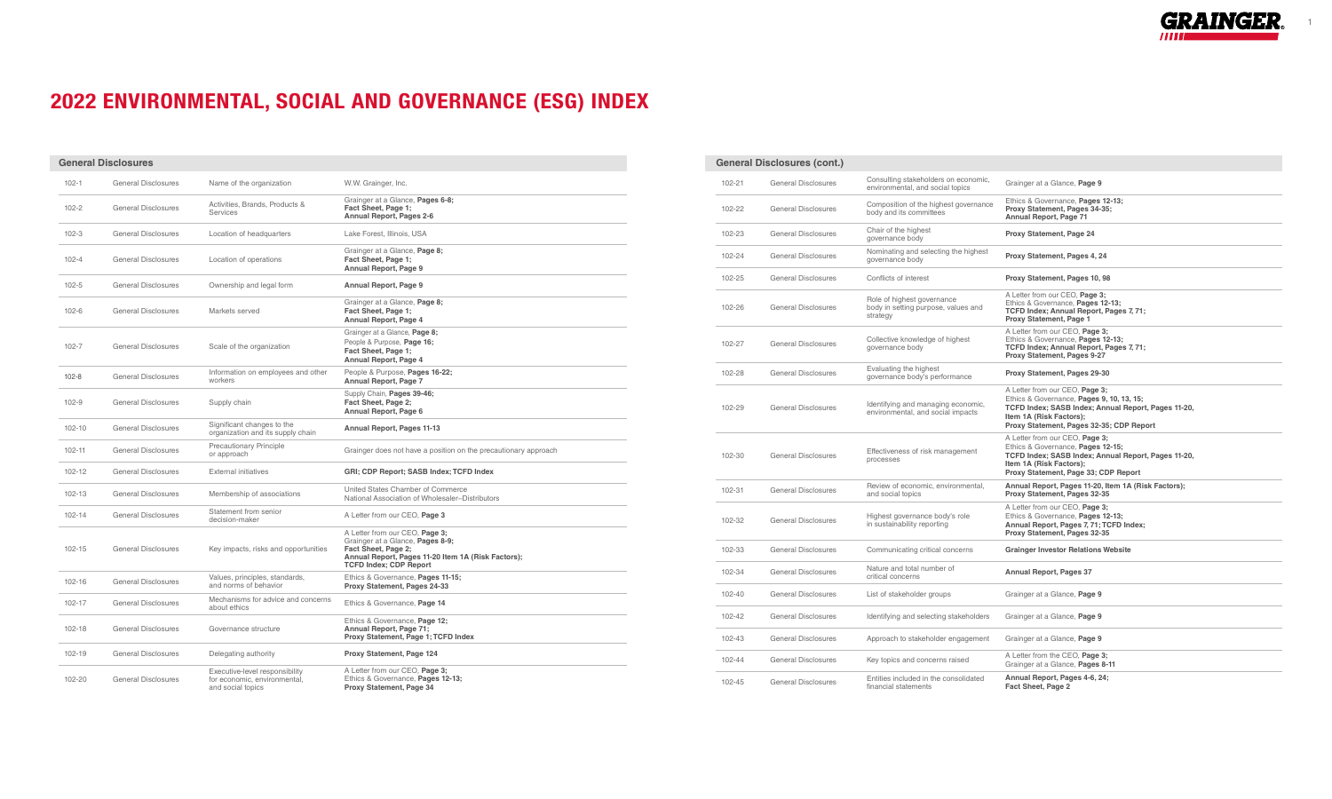1

## 2022 ENVIRONMENTAL, SOCIAL AND GOVERNANCE (ESG) INDEX

| <b>General Disclosures</b> |                            |                                                                                     |                                                                                                                                                                                  |  |                  | <b>General Disclosures (cont.)</b>                       |
|----------------------------|----------------------------|-------------------------------------------------------------------------------------|----------------------------------------------------------------------------------------------------------------------------------------------------------------------------------|--|------------------|----------------------------------------------------------|
| $102 - 1$                  | <b>General Disclosures</b> | Name of the organization                                                            | W.W. Grainger, Inc.                                                                                                                                                              |  | 102-21           | <b>General Disclosures</b>                               |
| $102 - 2$                  | <b>General Disclosures</b> | Activities, Brands, Products &<br>Services                                          | Grainger at a Glance, Pages 6-8;<br>Fact Sheet, Page 1;<br>Annual Report, Pages 2-6                                                                                              |  | 102-22           | <b>General Disclosures</b>                               |
| $102 - 3$                  | <b>General Disclosures</b> | Location of headquarters                                                            | Lake Forest, Illinois, USA                                                                                                                                                       |  | 102-23           | <b>General Disclosures</b>                               |
| $102 - 4$                  | <b>General Disclosures</b> | Location of operations                                                              | Grainger at a Glance, Page 8;<br>Fact Sheet, Page 1;<br>Annual Report, Page 9                                                                                                    |  | 102-24           | <b>General Disclosures</b>                               |
| $102 - 5$                  | <b>General Disclosures</b> | Ownership and legal form                                                            | Annual Report, Page 9                                                                                                                                                            |  | 102-25           | General Disclosures                                      |
| $102 - 6$                  | <b>General Disclosures</b> | Markets served                                                                      | Grainger at a Glance, Page 8;<br>Fact Sheet, Page 1;<br>Annual Report, Page 4                                                                                                    |  | 102-26           | <b>General Disclosures</b>                               |
| $102 - 7$                  | <b>General Disclosures</b> | Scale of the organization                                                           | Grainger at a Glance, Page 8;<br>People & Purpose, Page 16;<br>Fact Sheet, Page 1;<br>Annual Report, Page 4                                                                      |  | 102-27           | <b>General Disclosures</b>                               |
| $102 - 8$                  | <b>General Disclosures</b> | Information on employees and other<br>workers                                       | People & Purpose, Pages 16-22;<br>Annual Report, Page 7                                                                                                                          |  | 102-28           | <b>General Disclosures</b>                               |
| $102 - 9$                  | <b>General Disclosures</b> | Supply chain                                                                        | Supply Chain, Pages 39-46;<br>Fact Sheet, Page 2;<br>Annual Report, Page 6                                                                                                       |  | 102-29           | <b>General Disclosures</b>                               |
| $102 - 10$                 | <b>General Disclosures</b> | Significant changes to the<br>organization and its supply chain                     | Annual Report, Pages 11-13                                                                                                                                                       |  |                  |                                                          |
| $102 - 11$                 | <b>General Disclosures</b> | Precautionary Principle<br>or approach                                              | Grainger does not have a position on the precautionary approach                                                                                                                  |  | 102-30           | <b>General Disclosures</b>                               |
| $102 - 12$                 | <b>General Disclosures</b> | <b>External initiatives</b>                                                         | GRI; CDP Report; SASB Index; TCFD Index                                                                                                                                          |  |                  |                                                          |
| 102-13                     | <b>General Disclosures</b> | Membership of associations                                                          | United States Chamber of Commerce<br>National Association of Wholesaler-Distributors                                                                                             |  | 102-31           | <b>General Disclosures</b>                               |
| $102 - 14$                 | <b>General Disclosures</b> | Statement from senior<br>decision-maker                                             | A Letter from our CEO, Page 3                                                                                                                                                    |  | 102-32           | <b>General Disclosures</b>                               |
| $102 - 15$                 | <b>General Disclosures</b> | Key impacts, risks and opportunities                                                | A Letter from our CEO, Page 3;<br>Grainger at a Glance, Pages 8-9;<br>Fact Sheet, Page 2;<br>Annual Report, Pages 11-20 Item 1A (Risk Factors);<br><b>TCFD Index; CDP Report</b> |  | 102-33           | <b>General Disclosures</b>                               |
| $102 - 16$                 | <b>General Disclosures</b> | Values, principles, standards,<br>and norms of behavior                             | Ethics & Governance, Pages 11-15;<br>Proxy Statement, Pages 24-33                                                                                                                |  | 102-34           | General Disclosures                                      |
| 102-17                     | <b>General Disclosures</b> | Mechanisms for advice and concerns<br>about ethics                                  | Ethics & Governance, Page 14                                                                                                                                                     |  | 102-40           | General Disclosures                                      |
| $102 - 18$                 | <b>General Disclosures</b> | Governance structure                                                                | Ethics & Governance, Page 12;<br>Annual Report, Page 71;<br>Proxy Statement, Page 1; TCFD Index                                                                                  |  | 102-42<br>102-43 | <b>General Disclosures</b><br><b>General Disclosures</b> |
| 102-19                     | <b>General Disclosures</b> | Delegating authority                                                                | Proxy Statement, Page 124                                                                                                                                                        |  |                  |                                                          |
| 102-20                     | <b>General Disclosures</b> | Executive-level responsibility<br>for economic, environmental,<br>and social topics | A Letter from our CEO, Page 3;<br>Ethics & Governance, Pages 12-13;<br>Proxy Statement, Page 34                                                                                  |  | 102-44<br>102-45 | <b>General Disclosures</b><br><b>General Disclosures</b> |

| <b>General Disclosures (cont.)</b> |                            |                                                                               |                                                                                                                                                                                                           |  |  |
|------------------------------------|----------------------------|-------------------------------------------------------------------------------|-----------------------------------------------------------------------------------------------------------------------------------------------------------------------------------------------------------|--|--|
| $102 - 21$                         | <b>General Disclosures</b> | Consulting stakeholders on economic,<br>environmental, and social topics      | Grainger at a Glance, Page 9                                                                                                                                                                              |  |  |
| 102-22                             | <b>General Disclosures</b> | Composition of the highest governance<br>body and its committees              | Ethics & Governance, Pages 12-13;<br>Proxy Statement, Pages 34-35;<br>Annual Report, Page 71                                                                                                              |  |  |
| 102-23                             | <b>General Disclosures</b> | Chair of the highest<br>governance body                                       | Proxy Statement, Page 24                                                                                                                                                                                  |  |  |
| 102-24                             | <b>General Disclosures</b> | Nominating and selecting the highest<br>governance body                       | Proxy Statement, Pages 4, 24                                                                                                                                                                              |  |  |
| 102-25                             | <b>General Disclosures</b> | Conflicts of interest                                                         | Proxy Statement, Pages 10, 98                                                                                                                                                                             |  |  |
| 102-26                             | <b>General Disclosures</b> | Role of highest governance<br>body in setting purpose, values and<br>strategy | A Letter from our CEO, Page 3;<br>Ethics & Governance, Pages 12-13;<br>TCFD Index; Annual Report, Pages 7, 71;<br>Proxy Statement, Page 1                                                                 |  |  |
| 102-27                             | <b>General Disclosures</b> | Collective knowledge of highest<br>governance body                            | A Letter from our CEO, Page 3;<br>Ethics & Governance, Pages 12-13;<br>TCFD Index; Annual Report, Pages 7, 71;<br>Proxy Statement, Pages 9-27                                                             |  |  |
| 102-28                             | <b>General Disclosures</b> | Evaluating the highest<br>governance body's performance                       | Proxy Statement, Pages 29-30                                                                                                                                                                              |  |  |
| 102-29                             | <b>General Disclosures</b> | Identifying and managing economic,<br>environmental, and social impacts       | A Letter from our CEO, Page 3;<br>Ethics & Governance, Pages 9, 10, 13, 15;<br>TCFD Index; SASB Index; Annual Report, Pages 11-20,<br>Item 1A (Risk Factors);<br>Proxy Statement, Pages 32-35; CDP Report |  |  |
| 102-30                             | <b>General Disclosures</b> | Effectiveness of risk management<br>processes                                 | A Letter from our CEO, Page 3;<br>Ethics & Governance, Pages 12-15;<br>TCFD Index; SASB Index; Annual Report, Pages 11-20,<br>Item 1A (Risk Factors);<br>Proxy Statement, Page 33; CDP Report             |  |  |
| 102-31                             | <b>General Disclosures</b> | Review of economic, environmental,<br>and social topics                       | Annual Report, Pages 11-20, Item 1A (Risk Factors);<br>Proxy Statement, Pages 32-35                                                                                                                       |  |  |
| 102-32                             | <b>General Disclosures</b> | Highest governance body's role<br>in sustainability reporting                 | A Letter from our CEO, Page 3;<br>Ethics & Governance, Pages 12-13;<br>Annual Report, Pages 7, 71; TCFD Index;<br>Proxy Statement, Pages 32-35                                                            |  |  |
| 102-33                             | <b>General Disclosures</b> | Communicating critical concerns                                               | <b>Grainger Investor Relations Website</b>                                                                                                                                                                |  |  |
| 102-34                             | <b>General Disclosures</b> | Nature and total number of<br>critical concerns                               | Annual Report, Pages 37                                                                                                                                                                                   |  |  |
| 102-40                             | <b>General Disclosures</b> | List of stakeholder groups                                                    | Grainger at a Glance, Page 9                                                                                                                                                                              |  |  |
| 102-42                             | <b>General Disclosures</b> | Identifying and selecting stakeholders                                        | Grainger at a Glance, Page 9                                                                                                                                                                              |  |  |
| 102-43                             | <b>General Disclosures</b> | Approach to stakeholder engagement                                            | Grainger at a Glance, Page 9                                                                                                                                                                              |  |  |
| 102-44                             | <b>General Disclosures</b> | Key topics and concerns raised                                                | A Letter from the CEO, Page 3;<br>Grainger at a Glance, Pages 8-11                                                                                                                                        |  |  |
| 102-45                             | <b>General Disclosures</b> | Entities included in the consolidated<br>financial statements                 | Annual Report, Pages 4-6, 24;<br>Fact Sheet, Page 2                                                                                                                                                       |  |  |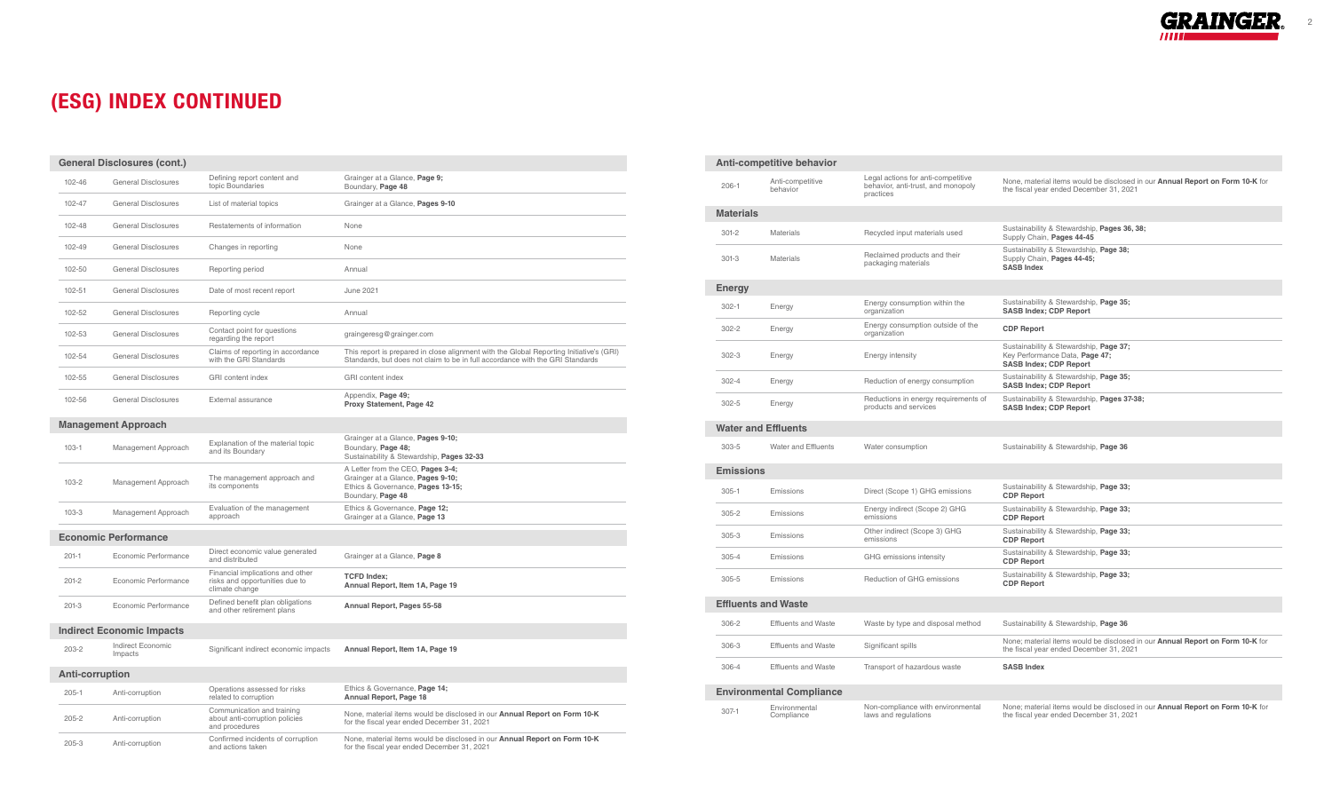2

## (ESG) INDEX CONTINUED

| <b>General Disclosures (cont.)</b> |                              |                                                                                      |                                                                                                                                                                          |  |
|------------------------------------|------------------------------|--------------------------------------------------------------------------------------|--------------------------------------------------------------------------------------------------------------------------------------------------------------------------|--|
| 102-46                             | General Disclosures          | Defining report content and<br>topic Boundaries                                      | Grainger at a Glance, Page 9;<br>Boundary, Page 48                                                                                                                       |  |
| 102-47                             | General Disclosures          | List of material topics                                                              | Grainger at a Glance, Pages 9-10                                                                                                                                         |  |
| 102-48                             | <b>General Disclosures</b>   | Restatements of information                                                          | None                                                                                                                                                                     |  |
| 102-49                             | <b>General Disclosures</b>   | Changes in reporting                                                                 | None                                                                                                                                                                     |  |
| 102-50                             | General Disclosures          | Reporting period                                                                     | Annual                                                                                                                                                                   |  |
| 102-51                             | General Disclosures          | Date of most recent report                                                           | <b>June 2021</b>                                                                                                                                                         |  |
| 102-52                             | General Disclosures          | Reporting cycle                                                                      | Annual                                                                                                                                                                   |  |
| 102-53                             | <b>General Disclosures</b>   | Contact point for questions<br>regarding the report                                  | graingeresg@grainger.com                                                                                                                                                 |  |
| 102-54                             | <b>General Disclosures</b>   | Claims of reporting in accordance<br>with the GRI Standards                          | This report is prepared in close alignment with the Global Reporting Initiative's (GRI)<br>Standards, but does not claim to be in full accordance with the GRI Standards |  |
| 102-55                             | <b>General Disclosures</b>   | <b>GRI</b> content index                                                             | <b>GRI</b> content index                                                                                                                                                 |  |
| 102-56                             | <b>General Disclosures</b>   | External assurance                                                                   | Appendix, Page 49;<br>Proxy Statement, Page 42                                                                                                                           |  |
| <b>Management Approach</b>         |                              |                                                                                      |                                                                                                                                                                          |  |
| $103 - 1$                          | Management Approach          | Explanation of the material topic<br>and its Boundary                                | Grainger at a Glance, Pages 9-10;<br>Boundary, Page 48;<br>Sustainability & Stewardship, Pages 32-33                                                                     |  |
| $103 - 2$                          | Management Approach          | The management approach and<br>its components                                        | A Letter from the CEO, Pages 3-4;<br>Grainger at a Glance, Pages 9-10;<br>Ethics & Governance, Pages 13-15;<br>Boundary, Page 48                                         |  |
| $103 - 3$                          | Management Approach          | Evaluation of the management<br>approach                                             | Ethics & Governance, Page 12;<br>Grainger at a Glance, Page 13                                                                                                           |  |
| <b>Economic Performance</b>        |                              |                                                                                      |                                                                                                                                                                          |  |
| $201 - 1$                          | Economic Performance         | Direct economic value generated<br>and distributed                                   | Grainger at a Glance, Page 8                                                                                                                                             |  |
| $201 - 2$                          | Economic Performance         | Financial implications and other<br>risks and opportunities due to<br>climate change | <b>TCFD Index:</b><br>Annual Report, Item 1A, Page 19                                                                                                                    |  |
| $201 - 3$                          | Economic Performance         | Defined benefit plan obligations<br>and other retirement plans                       | Annual Report, Pages 55-58                                                                                                                                               |  |
| <b>Indirect Economic Impacts</b>   |                              |                                                                                      |                                                                                                                                                                          |  |
| $203 - 2$                          | Indirect Economic<br>Impacts | Significant indirect economic impacts                                                | Annual Report, Item 1A, Page 19                                                                                                                                          |  |
| <b>Anti-corruption</b>             |                              |                                                                                      |                                                                                                                                                                          |  |
| $205 - 1$                          | Anti-corruption              | Operations assessed for risks<br>related to corruption                               | Ethics & Governance, Page 14;<br>Annual Report, Page 18                                                                                                                  |  |
| $205 - 2$                          | Anti-corruption              | Communication and training<br>about anti-corruption policies<br>and procedures       | None, material items would be disclosed in our Annual Report on Form 10-K<br>for the fiscal year ended December 31, 2021                                                 |  |
| $205 - 3$                          | Anti-corruption              | Confirmed incidents of corruption<br>and actions taken                               | None, material items would be disclosed in our Annual Report on Form 10-K<br>for the fiscal year ended December 31, 2021                                                 |  |

| Anti-competitive behavior |                                 |                                                                                       |                                                                                                                                 |  |  |
|---------------------------|---------------------------------|---------------------------------------------------------------------------------------|---------------------------------------------------------------------------------------------------------------------------------|--|--|
| $206 - 1$                 | Anti-competitive<br>behavior    | Legal actions for anti-competitive<br>behavior, anti-trust, and monopoly<br>practices | None, material items would be disclosed in our Annual Report on Form 10-K for<br>the fiscal year ended December 31, 2021        |  |  |
| <b>Materials</b>          |                                 |                                                                                       |                                                                                                                                 |  |  |
| $301 - 2$                 | <b>Materials</b>                | Recycled input materials used                                                         | Sustainability & Stewardship, Pages 36, 38;<br>Supply Chain, Pages 44-45                                                        |  |  |
| $301-3$                   | Materials                       | Reclaimed products and their<br>packaging materials                                   | Sustainability & Stewardship, Page 38;<br>Supply Chain, Pages 44-45;<br><b>SASB Index</b>                                       |  |  |
| Energy                    |                                 |                                                                                       |                                                                                                                                 |  |  |
| $302 - 1$                 | Energy                          | Energy consumption within the<br>organization                                         | Sustainability & Stewardship, Page 35;<br><b>SASB Index; CDP Report</b>                                                         |  |  |
| $302 - 2$                 | Energy                          | Energy consumption outside of the<br>organization                                     | <b>CDP Report</b>                                                                                                               |  |  |
| $302 - 3$                 | Energy                          | Energy intensity                                                                      | Sustainability & Stewardship, Page 37;<br>Key Performance Data, Page 47;<br><b>SASB Index; CDP Report</b>                       |  |  |
| $302 - 4$                 | Energy                          | Reduction of energy consumption                                                       | Sustainability & Stewardship, Page 35;<br><b>SASB Index; CDP Report</b>                                                         |  |  |
| $302 - 5$                 | Energy                          | Reductions in energy requirements of<br>products and services                         | Sustainability & Stewardship, Pages 37-38;<br><b>SASB Index; CDP Report</b>                                                     |  |  |
|                           | <b>Water and Effluents</b>      |                                                                                       |                                                                                                                                 |  |  |
| 303-5                     | Water and Effluents             | Water consumption                                                                     | Sustainability & Stewardship, Page 36                                                                                           |  |  |
| <b>Emissions</b>          |                                 |                                                                                       |                                                                                                                                 |  |  |
| $305 - 1$                 | Emissions                       | Direct (Scope 1) GHG emissions                                                        | Sustainability & Stewardship, Page 33;<br><b>CDP Report</b>                                                                     |  |  |
| $305 - 2$                 | Emissions                       | Energy indirect (Scope 2) GHG<br>emissions                                            | Sustainability & Stewardship, Page 33;<br><b>CDP Report</b>                                                                     |  |  |
| $305 - 3$                 | Emissions                       | Other indirect (Scope 3) GHG<br>emissions                                             | Sustainability & Stewardship, Page 33;<br><b>CDP Report</b>                                                                     |  |  |
| $305 - 4$                 | Emissions                       | GHG emissions intensity                                                               | Sustainability & Stewardship, Page 33;<br><b>CDP Report</b>                                                                     |  |  |
| $305 - 5$                 | Emissions                       | Reduction of GHG emissions                                                            | Sustainability & Stewardship, Page 33;<br><b>CDP Report</b>                                                                     |  |  |
|                           | <b>Effluents and Waste</b>      |                                                                                       |                                                                                                                                 |  |  |
| $306 - 2$                 | <b>Effluents and Waste</b>      | Waste by type and disposal method                                                     | Sustainability & Stewardship, Page 36                                                                                           |  |  |
| $306 - 3$                 | <b>Effluents and Waste</b>      | Significant spills                                                                    | None; material items would be disclosed in our Annual Report on Form 10-K for<br>the fiscal year ended December 31, 2021        |  |  |
| 306-4                     | <b>Effluents and Waste</b>      | Transport of hazardous waste                                                          | <b>SASB Index</b>                                                                                                               |  |  |
|                           | <b>Environmental Compliance</b> |                                                                                       |                                                                                                                                 |  |  |
| $307 - 1$                 | Environmental<br>Compliance     | Non-compliance with environmental<br>laws and regulations                             | None; material items would be disclosed in our <b>Annual Report on Form 10-K</b> for<br>the fiscal year ended December 31, 2021 |  |  |